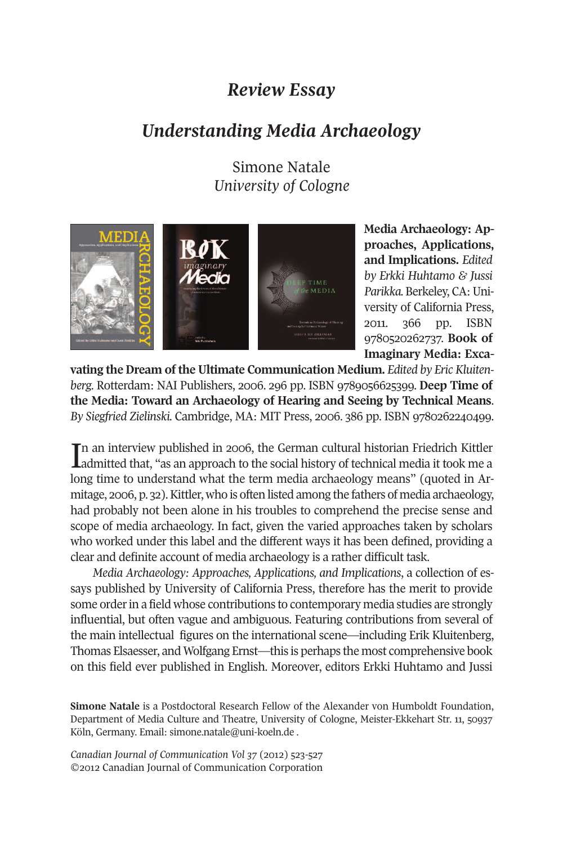## *Review Essay*

## *Understanding Media Archaeology*

Simone Natale *University of Cologne*



**Media Archaeology: Approaches, Applications, and Implications.** *Edited by Erkki Huhtamo & Jussi Parikka.* Berkeley, CA:University of California Press, 2011. 366 pp. ISBN 9780520262737. **Book of Imaginary Media: Exca-**

**vating the Dream of the Ultimate Communication Medium.** *Edited by Eric Kluitenberg.* Rotterdam: NAI Publishers, 2006. 296 pp. ISBN 9789056625399. **Deep Time of the Media: Toward an Archaeology of Hearing and Seeing by Technical Means**. *By Siegfried Zielinski.* Cambridge, MA: MIT Press, 2006. 386 pp. ISBN 9780262240499.

In an interview published in 2006, the German cultural historian Friedrich Kittler<br>Ladmitted that, "as an approach to the social history of technical media it took me a n an interview published in 2006, the German cultural historian Friedrich Kittler long time to understand what the term media archaeology means" (quoted in Armitage, 2006, p. 32). Kittler, who is often listed among the fathers of media archaeology, had probably not been alone in his troubles to comprehend the precise sense and scope of media archaeology. In fact, given the varied approaches taken by scholars who worked under this label and the different ways it has been defined, providing a clear and definite account of media archaeology is a rather difficult task.

*Media Archaeology: Approaches, Applications, and Implications*, a collection of essays published by University of California Press, therefore has the merit to provide some orderin a field whose contributions to contemporary media studies are strongly influential, but often vague and ambiguous. Featuring contributions from several of the main intellectual figures on the international scene—including Erik Kluitenberg, Thomas Elsaesser, and Wolfgang Ernst—this is perhaps the most comprehensive book on this field ever published in English. Moreover, editors Erkki Huhtamo and Jussi

**Simone Natale** is a Postdoctoral Research Fellow of the Alexander von Humboldt Foundation, Department of Media Culture and Theatre, University of Cologne, Meister-Ekkehart Str. 11, 50937 Köln, Germany. Email: <simone.natale@uni-koeln.de> .

*Canadian Journal of Communication Vol 37* (2012) 523-527 ©2012 Canadian Journal of Communication Corporation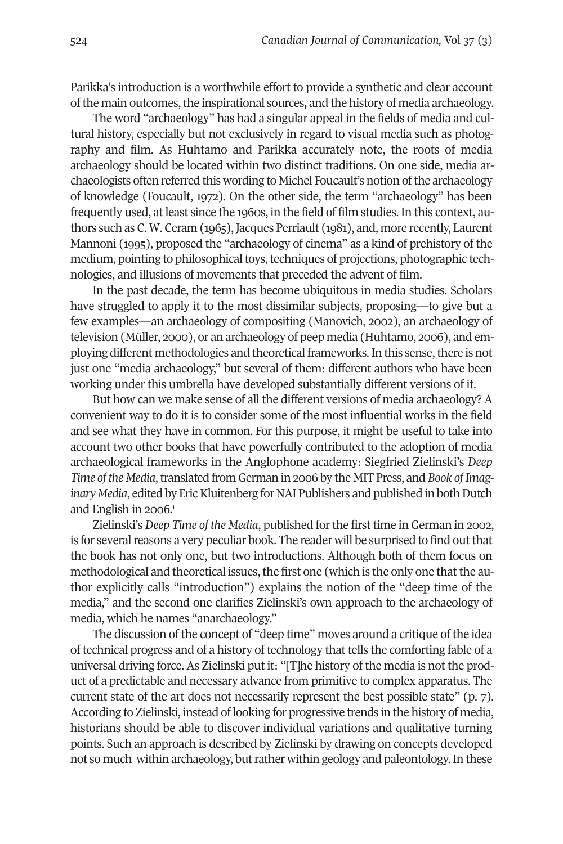Parikka's introduction is a worthwhile effort to provide a synthetic and clear account ofthe main outcomes,the inspirational sources**,** and the history of media archaeology.

The word "archaeology" has had a singular appeal in the fields of media and cultural history, especially but not exclusively in regard to visual media such as photography and film. As Huhtamo and Parikka accurately note, the roots of media archaeology should be located within two distinct traditions. On one side, media archaeologists often referred this wording to Michel Foucault's notion ofthe archaeology of knowledge (Foucault, 1972). On the other side, the term "archaeology" has been frequently used, at least since the 1960s, in the field of film studies. In this context, authors such as C. W. Ceram (1965), Jacques Perriault (1981), and, more recently, Laurent Mannoni (1995), proposed the "archaeology of cinema" as a kind of prehistory of the medium, pointing to philosophical toys, techniques of projections, photographic technologies, and illusions of movements that preceded the advent of film.

In the past decade, the term has become ubiquitous in media studies. Scholars have struggled to apply it to the most dissimilar subjects, proposing—to give but a few examples—an archaeology of compositing (Manovich, 2002), an archaeology of television (Müller, 2000), or an archaeology of peep media (Huhtamo, 2006), and employing different methodologies and theoretical frameworks. In this sense, there is not just one "media archaeology," but several of them: different authors who have been working under this umbrella have developed substantially different versions of it.

But how can we make sense of all the different versions of media archaeology? A convenient way to do it is to consider some of the most influential works in the field and see what they have in common. For this purpose, it might be useful to take into account two other books that have powerfully contributed to the adoption of media archaeological frameworks in the Anglophone academy: Siegfried Zielinski's *Deep Time of the Media*,translated from German in 2006 by the MIT Press, and *Book ofImaginary Media*, edited by Eric Kluitenberg for NAI Publishers and published in both Dutch and English in 2006. 1

Zielinski's *Deep Time of the Media*, published forthe first time in German in 2002, is for several reasons a very peculiar book. The reader will be surprised to find out that the book has not only one, but two introductions. Although both of them focus on methodological and theoretical issues, the first one (which is the only one that the author explicitly calls "introduction") explains the notion of the "deep time of the media," and the second one clarifies Zielinski's own approach to the archaeology of media, which he names "anarchaeology."

The discussion of the concept of "deep time" moves around a critique of the idea of technical progress and of a history of technology that tells the comforting fable of a universal driving force. As Zielinski put it: "[T]he history of the media is not the product of a predictable and necessary advance from primitive to complex apparatus. The current state of the art does not necessarily represent the best possible state" (p. 7). According to Zielinski, instead of looking for progressive trends in the history of media, historians should be able to discover individual variations and qualitative turning points. Such an approach is described by Zielinski by drawing on concepts developed not so much within archaeology, but rather within geology and paleontology. In these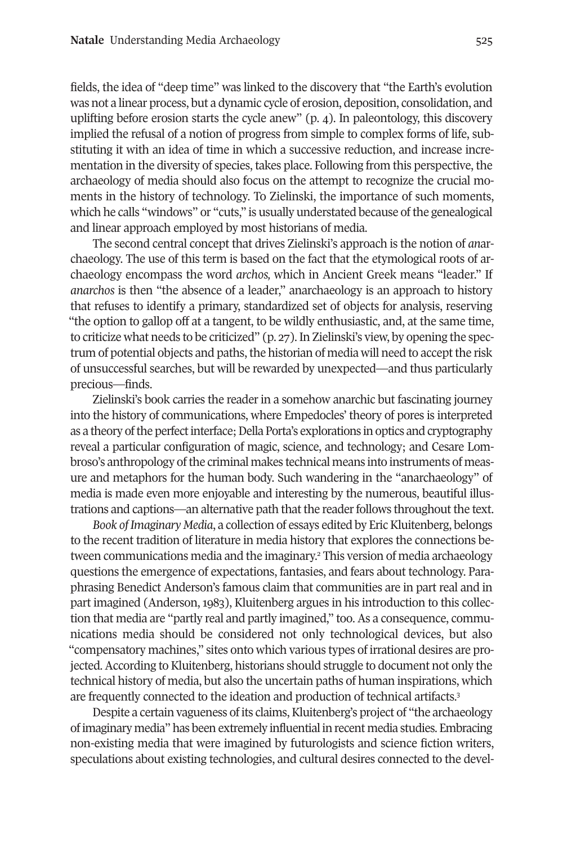fields, the idea of "deep time" was linked to the discovery that "the Earth's evolution was not a linear process, but a dynamic cycle of erosion, deposition, consolidation, and uplifting before erosion starts the cycle anew" (p. 4). In paleontology, this discovery implied the refusal of a notion of progress from simple to complex forms of life, substituting it with an idea of time in which a successive reduction, and increase incrementation in the diversity of species, takes place. Following from this perspective, the archaeology of media should also focus on the attempt to recognize the crucial moments in the history of technology. To Zielinski, the importance of such moments, which he calls "windows" or "cuts," is usually understated because of the genealogical and linear approach employed by most historians of media.

The second central concept that drives Zielinski's approach is the notion of *an*archaeology. The use of this term is based on the fact that the etymological roots of archaeology encompass the word *archos,* which in Ancient Greek means "leader." If *anarchos* is then "the absence of a leader," anarchaeology is an approach to history that refuses to identify a primary, standardized set of objects for analysis, reserving "the option to gallop off at a tangent, to be wildly enthusiastic, and, at the same time, to criticize what needs to be criticized" (p. 27).In Zielinski's view, by opening the spectrum of potential objects and paths, the historian of media will need to accept the risk of unsuccessful searches, but will be rewarded by unexpected—and thus particularly precious—finds.

Zielinski's book carries the reader in a somehow anarchic but fascinating journey into the history of communications, where Empedocles' theory of pores is interpreted as a theory of the perfect interface; Della Porta's explorations in optics and cryptography reveal a particular configuration of magic, science, and technology; and Cesare Lombroso's anthropology ofthe criminal makes technical means into instruments of measure and metaphors for the human body. Such wandering in the "anarchaeology" of media is made even more enjoyable and interesting by the numerous, beautiful illustrations and captions—an alternative path that the reader follows throughout the text.

*Book ofImaginary Media*, a collection of essays edited by EricKluitenberg, belongs to the recent tradition of literature in media history that explores the connections between communications media and the imaginary. <sup>2</sup> This version of media archaeology questions the emergence of expectations, fantasies, and fears about technology. Paraphrasing Benedict Anderson's famous claim that communities are in part real and in part imagined (Anderson, 1983), Kluitenberg argues in his introduction to this collection that media are "partly real and partly imagined," too. As a consequence, communications media should be considered not only technological devices, but also "compensatory machines," sites onto which various types of irrational desires are projected.According to Kluitenberg, historians should struggle to document not only the technical history of media, but also the uncertain paths of human inspirations, which are frequently connected to the ideation and production of technical artifacts. 3

Despite a certain vagueness of its claims, Kluitenberg's project of "the archaeology" ofimaginary media" has been extremely influential in recent media studies. Embracing non-existing media that were imagined by futurologists and science fiction writers, speculations about existing technologies, and cultural desires connected to the devel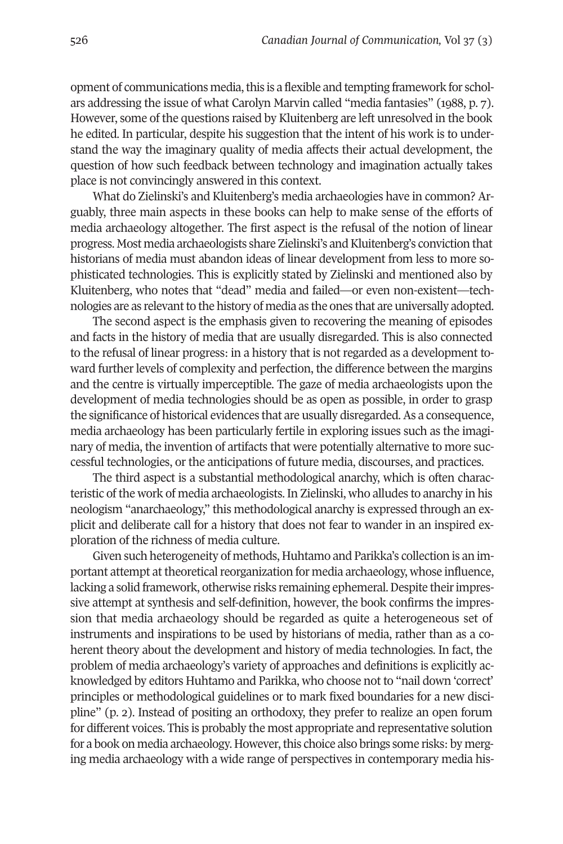opment of communications media, this is a flexible and tempting framework for scholars addressing the issue of what Carolyn Marvin called "media fantasies" (1988, p. 7). However, some of the questions raised by Kluitenberg are left unresolved in the book he edited. In particular, despite his suggestion that the intent of his work is to understand the way the imaginary quality of media affects their actual development, the question of how such feedback between technology and imagination actually takes place is not convincingly answered in this context.

What do Zielinski's and Kluitenberg's media archaeologies have in common? Arguably, three main aspects in these books can help to make sense of the efforts of media archaeology altogether. The first aspect is the refusal of the notion of linear progress. Most media archaeologists share Zielinski's and Kluitenberg's conviction that historians of media must abandon ideas of linear development from less to more sophisticated technologies. This is explicitly stated by Zielinski and mentioned also by Kluitenberg, who notes that "dead" media and failed—or even non-existent—technologies are as relevant to the history of media as the ones that are universally adopted.

The second aspect is the emphasis given to recovering the meaning of episodes and facts in the history of media that are usually disregarded. This is also connected to the refusal of linear progress: in a history that is not regarded as a development toward further levels of complexity and perfection, the difference between the margins and the centre is virtually imperceptible. The gaze of media archaeologists upon the development of media technologies should be as open as possible, in order to grasp the significance of historical evidences that are usually disregarded. As a consequence, media archaeology has been particularly fertile in exploring issues such as the imaginary of media, the invention of artifacts that were potentially alternative to more successful technologies, or the anticipations of future media, discourses, and practices.

The third aspect is a substantial methodological anarchy, which is often characteristic of the work of media archaeologists. In Zielinski, who alludes to anarchy in his neologism "anarchaeology," this methodological anarchy is expressed through an explicit and deliberate call for a history that does not fear to wander in an inspired exploration of the richness of media culture.

Given such heterogeneity of methods, Huhtamo and Parikka's collection is an important attempt at theoretical reorganization for media archaeology, whose influence, lacking a solid framework, otherwise risks remaining ephemeral. Despite their impressive attempt at synthesis and self-definition, however, the book confirms the impression that media archaeology should be regarded as quite a heterogeneous set of instruments and inspirations to be used by historians of media, rather than as a coherent theory about the development and history of media technologies. In fact, the problem of media archaeology's variety of approaches and definitions is explicitly acknowledged by editors Huhtamo and Parikka, who choose not to "nail down 'correct' principles or methodological guidelines or to mark fixed boundaries for a new discipline" (p. 2). Instead of positing an orthodoxy, they prefer to realize an open forum for different voices. This is probably the most appropriate and representative solution for a book on media archaeology. However, this choice also brings some risks: by merging media archaeology with a wide range of perspectives in contemporary media his